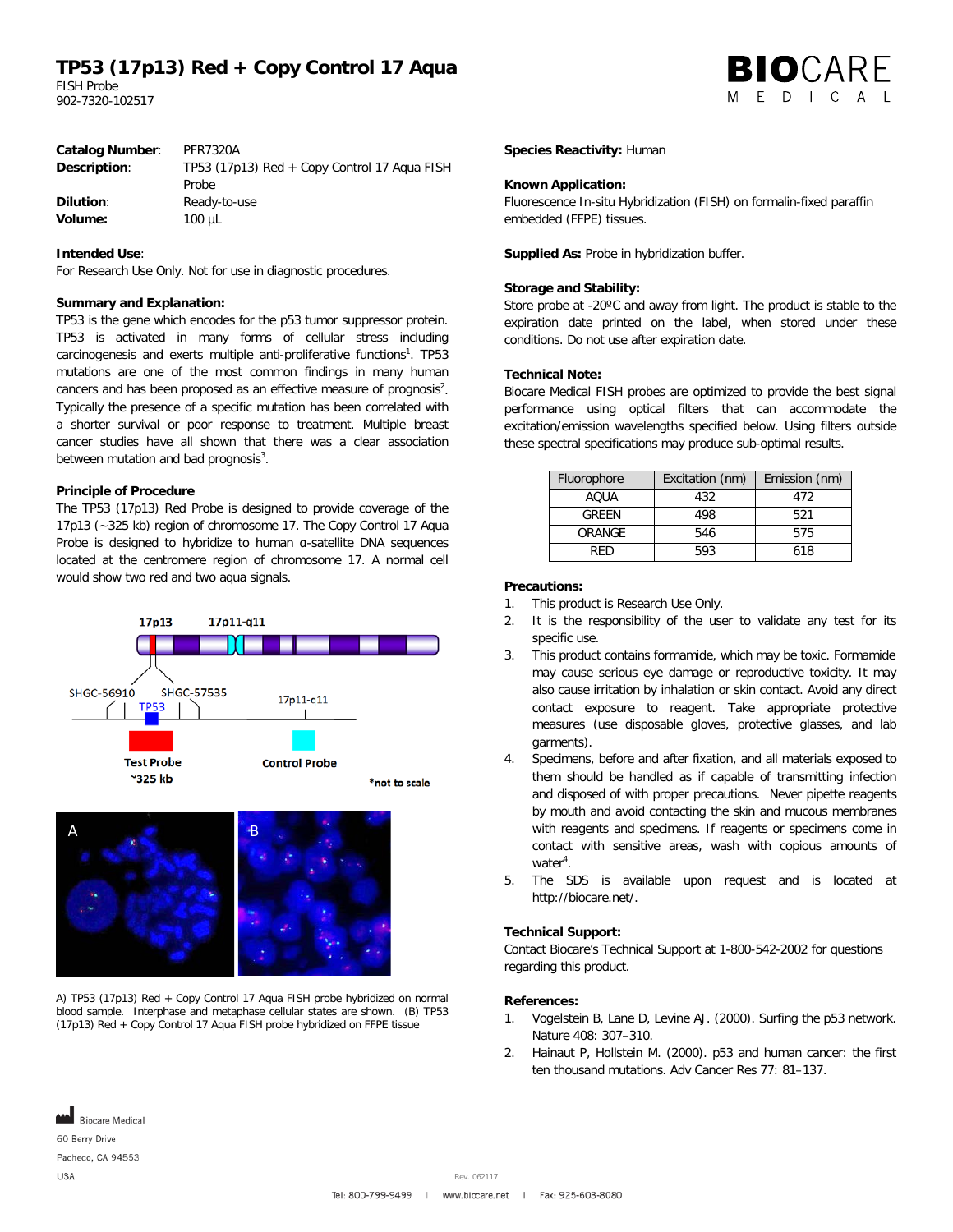## **TP53 (17p13) Red + Copy Control 17 Aqua**

FISH Probe 902-7320-102517

|  | <b>BIO</b> CARE |  |  |
|--|-----------------|--|--|
|  | MEDICAL         |  |  |

| <b>Catalog Number:</b> | <b>PFR7320A</b>                                |
|------------------------|------------------------------------------------|
| Description:           | TP53 (17p13) Red $+$ Copy Control 17 Agua FISH |
|                        | Probe                                          |
| <b>Dilution:</b>       | Ready-to-use                                   |
| Volume:                | $100 \mu L$                                    |
|                        |                                                |

## **Intended Use**:

For Research Use Only. Not for use in diagnostic procedures.

## **Summary and Explanation:**

TP53 is the gene which encodes for the p53 tumor suppressor protein. TP53 is activated in many forms of cellular stress including carcinogenesis and exerts multiple anti-proliferative functions<sup>1</sup>. TP53 mutations are one of the most common findings in many human cancers and has been proposed as an effective measure of prognosis<sup>2</sup>. Typically the presence of a specific mutation has been correlated with a shorter survival or poor response to treatment. Multiple breast cancer studies have all shown that there was a clear association between mutation and bad prognosis $3$ .

## **Principle of Procedure**

The TP53 (17p13) Red Probe is designed to provide coverage of the 17p13 (~325 kb) region of chromosome 17. The Copy Control 17 Aqua Probe is designed to hybridize to human α-satellite DNA sequences located at the centromere region of chromosome 17. A normal cell would show two red and two aqua signals.





A) TP53 (17p13) Red + Copy Control 17 Aqua FISH probe hybridized on normal blood sample. Interphase and metaphase cellular states are shown. (B) TP53 (17p13) Red + Copy Control 17 Aqua FISH probe hybridized on FFPE tissue

### **Species Reactivity:** Human

## **Known Application:**

Fluorescence In-situ Hybridization (FISH) on formalin-fixed paraffin embedded (FFPE) tissues.

**Supplied As:** Probe in hybridization buffer.

## **Storage and Stability:**

Store probe at -20ºC and away from light. The product is stable to the expiration date printed on the label, when stored under these conditions. Do not use after expiration date.

## **Technical Note:**

Biocare Medical FISH probes are optimized to provide the best signal performance using optical filters that can accommodate the excitation/emission wavelengths specified below. Using filters outside these spectral specifications may produce sub-optimal results.

| Fluorophore | Excitation (nm) | Emission (nm) |  |
|-------------|-----------------|---------------|--|
| AOUA        | 432             | 472           |  |
| GRFFN       | 498             | 521           |  |
| ORANGE      | 546             | 575           |  |
| RFD         | 593             | 618           |  |

#### **Precautions:**

- 1. This product is Research Use Only.
- 2. It is the responsibility of the user to validate any test for its specific use.
- 3. This product contains formamide, which may be toxic. Formamide may cause serious eye damage or reproductive toxicity. It may also cause irritation by inhalation or skin contact. Avoid any direct contact exposure to reagent. Take appropriate protective measures (use disposable gloves, protective glasses, and lab garments).
- Specimens, before and after fixation, and all materials exposed to them should be handled as if capable of transmitting infection and disposed of with proper precautions. Never pipette reagents by mouth and avoid contacting the skin and mucous membranes with reagents and specimens. If reagents or specimens come in contact with sensitive areas, wash with copious amounts of water<sup>4</sup>.
- 5. The SDS is available upon request and is located at http://biocare.net/.

## **Technical Support:**

Contact Biocare's Technical Support at 1-800-542-2002 for questions regarding this product.

### **References:**

- 1. Vogelstein B, Lane D, Levine AJ. (2000). Surfing the p53 network. Nature 408: 307–310.
- 2. Hainaut P, Hollstein M. (2000). p53 and human cancer: the first ten thousand mutations. Adv Cancer Res 77: 81–137.